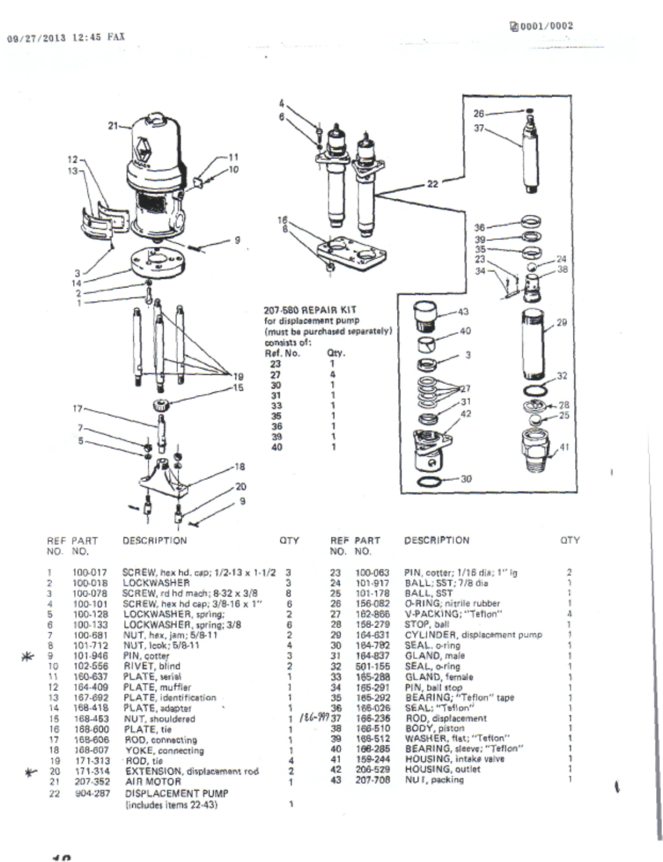ĭ

I.

|                                                                                                                         | $21 -$<br>12<br>13<br>3<br>14<br>2<br>17                                                                                                                                                                                                       | 16<br>18<br>g                                                                                                                                                                                                                                                                                                                                                                                                                                                                                                           | consists of:<br>Ref. No.<br>23<br>27<br>30<br>31<br>33<br>35<br>36<br>39<br>40                                                                       | 207-580 REPAIR KIT<br>for displacement pump<br>(must be purchased separately)<br>Qty.<br>1<br>4<br>1<br>1<br>1<br>1<br>1              |                                                                                                                                                                                                                                     | $26 -$<br>$37 -$<br>22<br>36<br>39<br>35<br>23<br>34<br>43<br>40<br>31<br>42<br>$-30$                                                                                                                                                                                                                                                                                                                                                                              | 24<br>38<br>29<br>.32<br>28<br>25                                                                                          |
|-------------------------------------------------------------------------------------------------------------------------|------------------------------------------------------------------------------------------------------------------------------------------------------------------------------------------------------------------------------------------------|-------------------------------------------------------------------------------------------------------------------------------------------------------------------------------------------------------------------------------------------------------------------------------------------------------------------------------------------------------------------------------------------------------------------------------------------------------------------------------------------------------------------------|------------------------------------------------------------------------------------------------------------------------------------------------------|---------------------------------------------------------------------------------------------------------------------------------------|-------------------------------------------------------------------------------------------------------------------------------------------------------------------------------------------------------------------------------------|--------------------------------------------------------------------------------------------------------------------------------------------------------------------------------------------------------------------------------------------------------------------------------------------------------------------------------------------------------------------------------------------------------------------------------------------------------------------|----------------------------------------------------------------------------------------------------------------------------|
| NO. NO.                                                                                                                 | REF PART                                                                                                                                                                                                                                       | <b>DESCRIPTION</b>                                                                                                                                                                                                                                                                                                                                                                                                                                                                                                      | QTY                                                                                                                                                  | NO. NO.                                                                                                                               | <b>REF PART</b>                                                                                                                                                                                                                     | DESCRIPTION                                                                                                                                                                                                                                                                                                                                                                                                                                                        | <b>OTY</b>                                                                                                                 |
| 1<br>2<br>3<br>4<br>5<br>6<br>7<br>8<br>9<br>10<br>11<br>12<br>13<br>14<br>15<br>16<br>17<br>18<br>19<br>20<br>21<br>22 | 100-017<br>100-018<br>100-078<br>100-101<br>100-128<br>100-133<br>100-681<br>101-712<br>101-946<br>102-556<br>160-637<br>164-409<br>167-692<br>168-418<br>168-453<br>168-600<br>168-606<br>168-607<br>171-313<br>171-314<br>207-352<br>904-287 | SCREW, hex hd. cap; 1/2-13 x 1-1/2<br>LOCKWASHER<br>SCREW, rd hd mach; 8-32 x 3/8<br>SCREW, hex hd cap; 3/8-16 x 1"<br>LOCKWASHER, spring;<br>LOCKWASHER, spring; 3/8<br>NUT, hex, jam; 5/8-11<br>NUT, leok; 5/8-11<br>PIN, cotter<br>RIVET, blind<br>PLATE, serial<br>PLATE, muffler<br>PLATE, identification<br>PLATE, adapter<br>NUT, shouldered<br>PLATE, tie<br>ROD, connecting<br>YOKE, connecting<br>ROD, tie<br><b>EXTENSION</b> , displacement rod<br>AIR MOTOR<br>DISPLACEMENT PUMP<br>(includes items 22-43) | 3<br>3<br>8<br>6<br>$\overline{\mathbf{2}}$<br>6<br>$\overline{2}$<br>4<br>3<br>2<br>٦<br>1<br>1<br>1<br>1<br>4<br>$\overline{\mathbf{2}}$<br>1<br>١ | 23<br>24<br>25<br>26<br>27<br>28<br>29<br>30<br>31<br>32<br>33<br>34<br>35<br>36<br>$186 - 99737$<br>38<br>39<br>40<br>41<br>42<br>43 | 100-063<br>101-917<br>101-178<br>156-082<br>162-866<br>158-279<br>164-631<br>164-782<br>164-837<br>501-155<br>165-288<br>165-291<br>165-292<br>166-026<br>166-236<br>166-510<br>166-512<br>168-285<br>159-244<br>206-529<br>207-708 | PIN, cotter; 1/16 dis; 1" ig<br>BALL; SST; 7/8 dia<br>BALL, SST<br>O-RING: nitrile rubber<br>V-PACKING: "Teflon"<br>STOP, ball<br>CYLINDER, displacement pump<br>SEAL, o-ring<br>GLAND, male<br>SEAL, o-ring<br>GLAND, female<br>PIN, ball stop<br>BEARING; "Teflon" tape<br>SEAL; "Teflon"<br>ROD, displacement<br><b>BODY</b> , piston<br>WASHER, flat; "Teflon"<br>BEARING, sleeve; "Teflon"<br>HOUSING, intake valve<br><b>HOUSING, outlet</b><br>NUT, packing | $\overline{2}$<br>ì<br>t<br>1<br>$\Delta$<br>1<br>1<br>1<br>1<br>1<br>١<br>Ĭ.<br>1<br>١<br>1<br>1<br>t<br>1<br>1<br>1<br>1 |

 $\overline{a}$ 

米